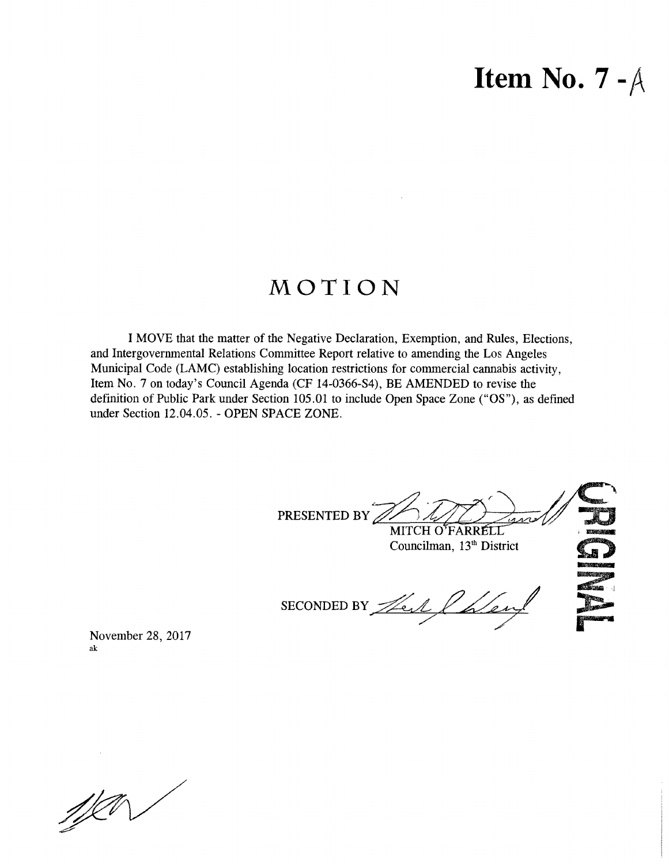### **Item No. 7 -/\**

### MOTION

I MOVE that the matter of the Negative Declaration, Exemption, and Rules, Elections, and Intergovernmental Relations Committee Report relative to amending the Los Angeles Municipal Code (LAMC) establishing location restrictions for commercial cannabis activity, Item No. 7 on today's Council Agenda (CF 14-0366-S4), BE AMENDED to revise the definition of Public Park under Section 105.01 to include Open Space Zone ("OS"), as defined under Section 12.04.05. - OPEN SPACE ZONE.

**,•** *r* PRESENTED BY MITCH O'FARRELL Councilman, 13<sup>th</sup> District SECONDED BY There I haven

November 28, 2017 ak

 $\mathscr{W}$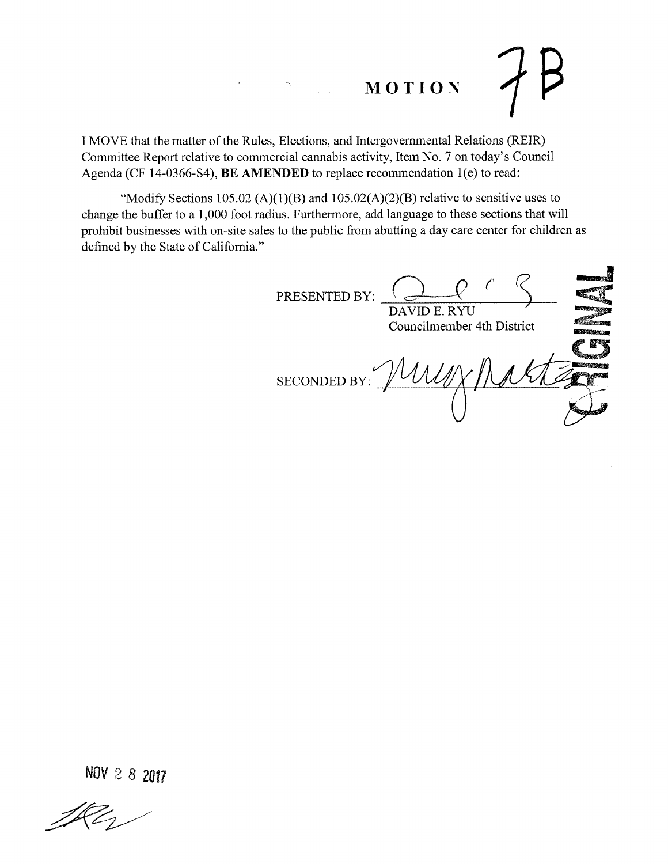# **MOTION** *n*

I MOVE that the matter of the Rules, Elections, and Intergovernmental Relations (REIR) Committee Report relative to commercial cannabis activity, Item No. 7 on today's Council Agenda (CF 14-0366-S4), **BE AMENDED** to replace recommendation 1(e) to read:

"Modify Sections 105.02 (A)(1)(B) and  $105.02(A)(2)(B)$  relative to sensitive uses to change the buffer to a 1,000 foot radius. Furthermore, add language to these sections that will prohibit businesses with on-site sales to the public from abutting a day care center for children as defined by the State of California."

PRESENTED BY: DAVID E. RYU Councilmember 4th District MY SECONDED BY: *s'"*

**NOV 2 8** *2017*